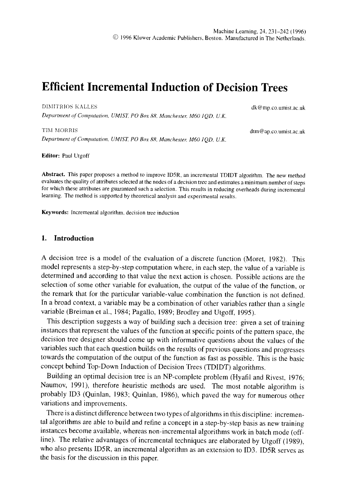# **Efficient Incremental Induction of Decision Trees**

DIMITRIOS KALLES

Department of Computation, UMIST, PO Box 88, Manchester, M60 1QD, U.K.

dk@mp.co.umist.ac.uk

TIM MORRIS *Department of Computation, UMIST, PO Box 88, Manchester, M60 1OD, U.K.* 

dtm@ap.co.umist.ac.uk

**Editor:** Paul Utgoff

**Abstract.** This paper proposes a method to improve 1D5R, an incremental TDIDT algorithm. The new method evaluates the quality of attributes selected at the nodes of a decision tree and estimates a minimum number of steps for which these attributes are guaranteed such a selection. This results in reducing overheads during incremental learning. The method is supported by theoretical analysis and experimental results.

**Keywords:** Incremental algorithm, decision tree induction

# **1. Introduction**

A decision tree is a model of the evaluation of a discrete function (Moret, 1982). This model represents a step-by-step computation where, in each step, the value of a variable is determined and according to that value the next action is chosen. Possible actions are the selection of some other variable for evaluation, the output of the value of the function, or the remark that for the particular variable-value combination the function is not defined. In a broad context, a variable may be a combination of other variables rather than a single variable (Breiman et al., 1984; Pagallo, 1989; Brodley and Utgoff, 1995).

This description suggests a way of building such a decision tree: given a set of training instances that represent the values of the function at specific points of the pattern space, the decision tree designer should come up with informative questions about the values of the variables such that each question builds on the results of previous questions and progresses towards the computation of the output of the function as fast as possible. This is the basic concept behind Top-Down Induction of Decision Trees (TDIDT) algorithms.

Building an optimal decision tree is an NP-complete problem (Hyafil and Rivest, 1976; Naumov, 1991), therefore heuristic methods are used. The most notable algorithm is probably ID3 (Quinlan, 1983; Quinlan, 1986), which paved the way for numerous other variations and improvements.

There is a distinct difference between two types of algorithms in this discipline: incremental algorithms are able to build and refine a concept in a step-by-step basis as new training instances become available, whereas non-incremental algorithms work in batch mode (offline). The relative advantages of incremental techniques are elaborated by Utgoff (1989), who also presents ID5R, an incremental algorithm as an extension to ID3. ID5R serves as the basis for the discussion in this paper.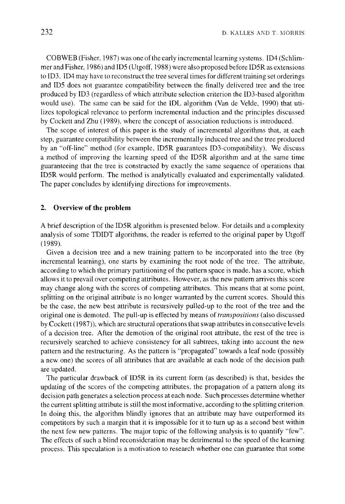COBWEB (Fisher, 1987) was one of the early incremental learning systems. ID4 (Schlimmer and Fisher, 1986) and ID5 (Utgoff, 1988) were also proposed before ID5R as extensions to ID3. ID4 may have to reconstruct the tree several times for different training set orderings and ID5 does not guarantee compatibility between the finally delivered tree and the tree produced by ID3 (regardless of which attribute selection criterion the ID3-based algorithm would use). The same can be said for the IDL algorithm (Van de Velde, 1990) that utilizes topological relevance to perform incremental induction and the principles discussed by Cockett and Zhu (1989), where the concept of association reductions is introduced.

The scope of interest of this paper is the study of incremental algorithms that, at each step, guarantee compatibility between the incrementally induced tree and the tree produced by an "off-line" method (for example, ID5R guarantees ID3-compatibility). We discuss a method of improving the learning speed of the ID5R algorithm and at the same time guaranteeing that the tree is constructed by exactly the same sequence of operations that ID5R would perform. The method is analytically evaluated and experimentally validated. The paper concludes by identifying directions for improvements.

#### **2. Overview of the problem**

A brief description of the ID5R algorithm is presented below. For details and a complexity analysis of some TDIDT algorithms, the reader is referred to the original paper by Utgoff (1989).

Given a decision tree and a new training pattern to be incorporated into the tree (by incremental learning), one starts by examining the root node of the tree. The attribute, according to which the primary partitioning of the pattern space is made, has a score, which allows it to prevail over competing attributes. However, as the new pattern arrives this score may change along with the scores of competing attributes. This means that at some point, splitting on the original attribute is no longer warranted by the current scores. Should this be the case, the new best attribute is recursively pulled-up to the root of the tree and the original one is demoted. The pull-up is effected by means of *transpositions* (also discussed by Cockett (1987)), which are structural operations that swap attributes in consecutive levels of a decision tree. After the demotion of the original root attribute, the rest of the tree is recursively searched to achieve consistency for all subtrees, taking into account the new pattern and the restructuring. As the pattern is "propagated" towards a leaf node (possibly a new one) the scores of all attributes that are available at each node of the decision path are updated.

The particular drawback of ID5R in its current form (as described) is that, besides the updating of the scores of the competing attributes, the propagation of a pattern along its decision path generates a selection process at each node. Such processes determine whether the current splitting attribute is still the most informative, according to the splitting criterion. In doing this, the algorithm blindly ignores that an attribute may have outperformed its competitors by such a margin that it is impossible for it to turn up as a second best within the next few new patterns. The major topic of the following analysis is to quantify "few". The effects of such a blind reconsideration may be detrimental to the speed of the learning process. This speculation is a motivation to research whether one can guarantee that some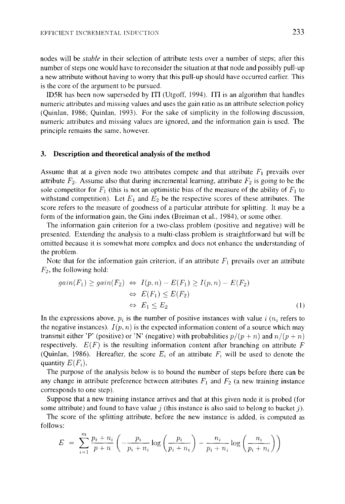nodes will be *stable* in their selection of attribute tests over a number of steps; after this number of steps one would have to reconsider the situation at that node and possibly pull-up a new attribute without having to worry that this pull-up should have occurred earlier. This is the core of the argument to be pursued.

ID5R has been now superseded by ITI (Utgoff, 1994). ITI is an algorithm that handles numeric attributes and missing values and uses the gain ratio as an attribute selection policy (Quinlan, 1986; Quinlan, 1993). For the sake of simplicity in the following discussion, numeric attributes and missing values are ignored, and the information gain is used. The principle remains the same, however.

#### **3. Description and theoretical analysis of the method**

Assume that at a given node two attributes compete and that attribute  $F_1$  prevails over attribute  $F_2$ . Assume also that during incremental learning, attribute  $F_2$  is going to be the sole competitor for  $F_1$  (this is not an optimistic bias of the measure of the ability of  $F_1$  to withstand competition). Let  $E_1$  and  $E_2$  be the respective scores of these attributes. The score refers to the measure of goodness of a particular attribute for splitting. It may be a form of the information gain, the Gini index (Breiman et al., 1984), or some other.

The information gain criterion for a two-class problem (positive and negative) will be presented. Extending the analysis to a multi-class problem is straightforward but will be omitted because it is somewhat more complex and does not enhance the understanding of the problem.

Note that for the information gain criterion, if an attribute  $F_1$  prevails over an attribute  $F_2$ , the following hold:

$$
gain(F_1) \geq gain(F_2) \iff I(p, n) - E(F_1) \geq I(p, n) - E(F_2)
$$
  
\n
$$
\iff E(F_1) \leq E(F_2)
$$
  
\n
$$
\iff E_1 \leq E_2 \tag{1}
$$

In the expressions above,  $p_i$  is the number of positive instances with value i  $(n_i$  refers to the negative instances).  $I(p, n)$  is the expected information content of a source which may transmit either 'P' (positive) or 'N' (negative) with probabilities  $p/(p+n)$  and  $n/(p+n)$ respectively.  $E(F)$  is the resulting information content after branching on attribute F (Quinlan, 1986). Hereafter, the score  $E_i$  of an attribute  $F_i$  will be used to denote the quantity  $E(F_i)$ .

The purpose of the analysis below is to bound the number of steps before there can be any change in attribute preference between attributes  $F_1$  and  $F_2$  (a new training instance corresponds to one step).

Suppose that a new training instance arrives and that at this given node it is probed (for some attribute) and found to have value j (this instance is also said to belong to bucket j).

The score of the splitting attribute, before the new instance is added, is computed as follows:

$$
E = \sum_{i=1}^{m} \frac{p_i + n_i}{p + n} \left( -\frac{p_i}{p_i + n_i} \log \left( \frac{p_i}{p_i + n_i} \right) - \frac{n_i}{p_i + n_i} \log \left( \frac{n_i}{p_i + n_i} \right) \right)
$$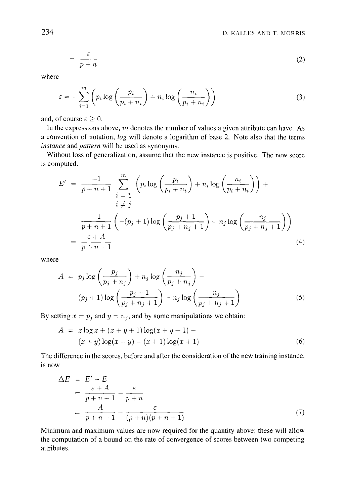$$
=\frac{\varepsilon}{p+n}\tag{2}
$$

where

$$
\varepsilon = -\sum_{i=1}^{m} \left( p_i \log \left( \frac{p_i}{p_i + n_i} \right) + n_i \log \left( \frac{n_i}{p_i + n_i} \right) \right) \tag{3}
$$

and, of course  $\varepsilon \geq 0$ .

In the expressions above,  $m$  denotes the number of values a given attribute can have. As a convention of notation, *log* will denote a logarithm of base 2. Note also that the terms *instance* and *pattern* will be used as synonyms.

Without loss of generalization, assume that the new instance is positive. The new score is computed.

$$
E' = \frac{-1}{p+n+1} \sum_{i=1}^{m} \left( p_i \log \left( \frac{p_i}{p_i + n_i} \right) + n_i \log \left( \frac{n_i}{p_i + n_i} \right) \right) +
$$
  

$$
i \neq j
$$
  

$$
\frac{-1}{p+n+1} \left( -(p_j+1) \log \left( \frac{p_j+1}{p_j+n_j+1} \right) - n_j \log \left( \frac{n_j}{p_j+n_j+1} \right) \right)
$$
  

$$
= \frac{\varepsilon + A}{p+n+1}
$$
 (4)

where

$$
A = p_j \log \left(\frac{p_j}{p_j + n_j}\right) + n_j \log \left(\frac{n_j}{p_j + n_j}\right) -
$$

$$
(p_j + 1) \log \left(\frac{p_j + 1}{p_j + n_j + 1}\right) - n_j \log \left(\frac{n_j}{p_j + n_j + 1}\right) \tag{5}
$$

By setting  $x = p_j$  and  $y = n_j$ , and by some manipulations we obtain:

$$
A = x \log x + (x + y + 1) \log(x + y + 1) - (x + y) \log(x + y) - (x + 1) \log(x + 1)
$$
\n(6)

The difference in the scores, before and after the consideration of the new training instance, is now

$$
\Delta E = E' - E
$$
  
=  $\frac{\varepsilon + A}{p + n + 1} - \frac{\varepsilon}{p + n}$   
=  $\frac{A}{p + n + 1} - \frac{\varepsilon}{(p + n)(p + n + 1)}$  (7)

Minimum and maximum values are now required for the quantity above; these will allow the computation of a bound on the rate of convergence of scores between two competing attributes.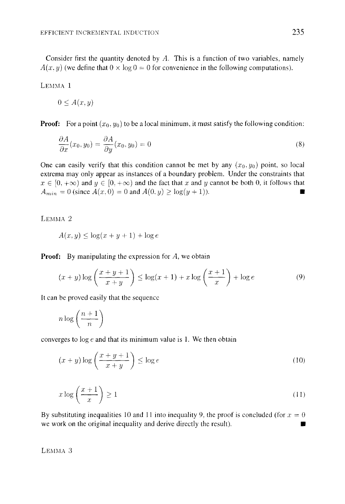Consider first the quantity denoted by  $A$ . This is a function of two variables, namely  $A(x, y)$  (we define that  $0 \times \log 0 = 0$  for convenience in the following computations).

LEMMA<sub>1</sub>

 $0 \leq A(x, y)$ 

**Proof:** For a point  $(x_0, y_0)$  to be a local minimum, it must satisfy the following condition:

$$
\frac{\partial A}{\partial x}(x_0, y_0) = \frac{\partial A}{\partial y}(x_0, y_0) = 0
$$
\n(8)

One can easily verify that this condition cannot be met by any  $(x_0, y_0)$  point, so local extrema may only appear as instances of a boundary problem. Under the constraints that  $x \in [0, +\infty)$  and  $y \in [0, +\infty)$  and the fact that x and y cannot be both 0, it follows that  $A_{min} = 0$  (since  $A(x, 0) = 0$  and  $A(0, y) \ge log(y + 1)$ ).

LEMMA 2

$$
A(x, y) \le \log(x + y + 1) + \log e
$$

**Proof:** By manipulating the expression for A, we obtain

$$
(x+y)\log\left(\frac{x+y+1}{x+y}\right) \le \log(x+1) + x\log\left(\frac{x+1}{x}\right) + \log e \tag{9}
$$

It can be proved easily that the sequencc

$$
n\log\left(\frac{n+1}{n}\right)
$$

converges to log e and that its minimum value is **1. We** then obtain

$$
(x+y)\log\left(\frac{x+y+1}{x+y}\right) \le \log e \tag{10}
$$

$$
x \log \left( \frac{x+1}{x} \right) \ge 1 \tag{11}
$$

By substituting inequalities 10 and 11 into inequality 9, the proof is concluded (for  $x = 0$ ) we work on the original inequality and derive directly the result).  $\Box$ 

LEMMA 3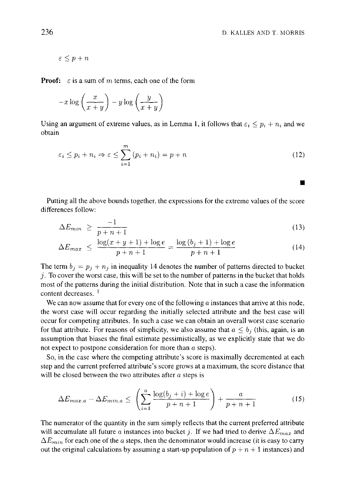$\blacksquare$ 

 $\varepsilon \leq p+n$ 

**Proof:**  $\varepsilon$  is a sum of m terms, each one of the form

$$
-x\log\left(\frac{x}{x+y}\right) - y\log\left(\frac{y}{x+y}\right)
$$

Using an argument of extreme values, as in Lemma 1, it follows that  $\varepsilon_i \leq p_i + n_i$  and we obtain

$$
\varepsilon_i \le p_i + n_i \Rightarrow \varepsilon \le \sum_{i=1}^m (p_i + n_i) = p + n \tag{12}
$$

Putting all the above bounds together, the expressions for the extreme values of the score differences follow:

$$
\Delta E_{min} \geq \frac{-1}{p+n+1} \tag{13}
$$

$$
\Delta E_{max} \le \frac{\log(x+y+1) + \log e}{p+n+1} = \frac{\log(b_j+1) + \log e}{p+n+1}
$$
(14)

The term  $b_j = p_j + n_j$  in inequality 14 denotes the number of patterns directed to bucket  $j$ . To cover the worst case, this will be set to the number of patterns in the bucket that holds most of the patterns during the initial distribution. Note that in such a case the information content decreases.<sup>1</sup>

We can now assume that for every one of the following  $a$  instances that arrive at this node, the worst case will occur regarding the initially selected attribute and the best case will occur for competing attributes. In such a case we can obtain an overall worst case scenario for that attribute. For reasons of simplicity, we also assume that  $a \leq b_i$  (this, again, is an assumption that biases the final estimate pessimistically, as we explicitly state that we do not expect to postpone consideration for more than  $\alpha$  steps).

So, in the case where the competing attribute's score is maximally decremented at each step and the current preferred attribute's score grows at a maximum, the score distance that will be closed between the two attributes after  $a$  steps is

$$
\Delta E_{max,a} - \Delta E_{min,a} \le \left(\sum_{i=1}^{a} \frac{\log(b_j + i) + \log e}{p + n + 1}\right) + \frac{a}{p + n + 1} \tag{15}
$$

The numerator of the quantity in the sum simply reflects that the current preferred attribute will accumulate all future a instances into bucket j. If we had tried to derive  $\Delta E_{max}$  and  $\Delta E_{min}$  for each one of the a steps, then the denominator would increase (it is easy to carry out the original calculations by assuming a start-up population of  $p + n + 1$  instances) and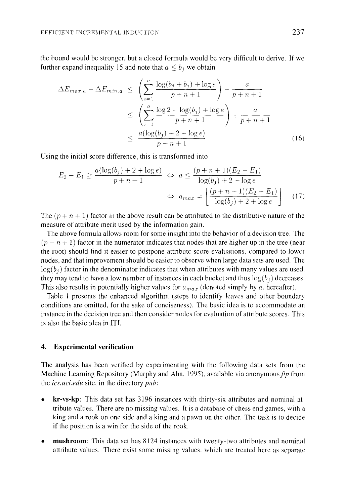the bound would be stronger, but a closed formula would be very difficult to derive. If we further expand inequality 15 and note that  $a \leq b_i$  we obtain

$$
\Delta E_{max,a} - \Delta E_{min,a} \le \left(\sum_{i=1}^{a} \frac{\log(b_j + b_j) + \log e}{p + n + 1}\right) + \frac{a}{p + n + 1}
$$

$$
\le \left(\sum_{i=1}^{a} \frac{\log 2 + \log(b_j) + \log e}{p + n + 1}\right) + \frac{a}{p + n + 1}
$$

$$
\le \frac{a(\log(b_j) + 2 + \log e)}{p + n + 1} \tag{16}
$$

Using the initial score difference, this is transformed into

$$
E_2 - E_1 \ge \frac{a(\log(b_j) + 2 + \log e)}{p + n + 1} \iff a \le \frac{(p + n + 1)(E_2 - E_1)}{\log(b_j) + 2 + \log e}
$$

$$
\iff a_{max} = \left\lfloor \frac{(p + n + 1)(E_2 - E_1)}{\log(b_j) + 2 + \log e} \right\rfloor \tag{17}
$$

The  $(p + n + 1)$  factor in the above result can be attributed to the distributive nature of the measure of attribute merit used by the information gain.

The above formula allows room for some insight into the behavior of a decision tree. The  $(p + n + 1)$  factor in the numerator indicates that nodes that are higher up in the tree (near the root) should find it easier to postpone attribute score evaluations, compared to lower nodes, and that improvement should be easier to observe when large data sets are used. The  $log(b<sub>i</sub>)$  factor in the denominator indicates that when attributes with many values are used, they may tend to have a low number of instances in each bucket and thus  $\log(b_i)$  decreases. This also results in potentially higher values for  $a_{max}$  (denoted simply by a, hereafter).

Table 1 presents the enhanced algorithm (steps to identify leaves and other boundary conditions are omitted, for the sake of conciseness). The basic idea is to accommodate an instance in the decision tree and then consider nodes for evaluation of attribute scores. This is also the basic idea in ITI.

## **4. Experimental verification**

The analysis has been verified by experimenting with the following data sets from the Machine Learning Repository (Murphy and Aha, 1995), available via *anonymous,tip* from the *ics.uci.edu* site, in the directory *pub:* 

- **kr-vs-kp:** This data set has 3196 instances with thirty-six attributes and nominal at- $\bullet$ tribute values. There are no missing values, It is a database of chess end games, with a king and a rook on one side and a king and a pawn on the other. The task is to decide if the position is a win for the side of the rook.
- **mushroom:** This data set has 8124 instances with twenty-two attributes and nominal attribute values. There exist some missing values, which are treated here as separate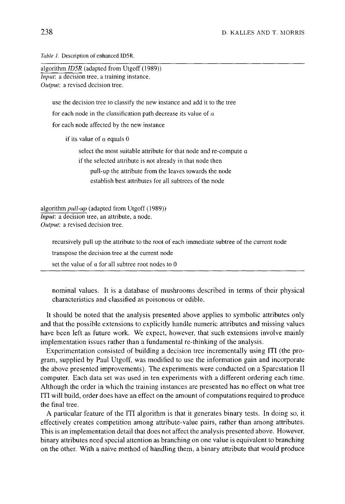*Table 1.* Description of enhanced ID5R.

algorithm *ID5R* (adapted from Utgoff (1989)) *Input*: a decision tree, a training instance. *Output:* a revised decision tree.

use the decision tree to classify the new instance and add it to the tree for each node in the classification path decrease its value of  $a$ for each node affected by the new instance if its value of  $a$  equals  $0$ 

> select the most suitable attribute for that node and re-compute a if the selected attribute is not already in that node then pull-up the attribute from the leaves towards the node establish best attributes for all subtrees of the node

algorithm *pull-up* (adapted from Utgoff (1989)) *Input*: a decision tree, an attribute, a node. *Output:* a revised decision tree.

recursively pull up the attribute to the root of each immediate subtree of the current node

transpose the decision tree at the current node

set the value of  $\alpha$  for all subtree root nodes to 0

nominal values. It is a database of mushrooms described in terms of their physical characteristics and classified as poisonous or edible.

It should be noted that the analysis presented above applies to symbolic attributes only and that the possible extensions to explicitly handle numeric attributes and missing values have been left as future work. We expect, however, that such extensions involve mainly implementation issues rather than a fundamental re-thinking of the analysis.

Experimentation consisted of building a decision tree incrementally using ITI (the program, supplied by Paul Utgoff, was modified to use the information gain and incorporate the above presented improvements). The experiments were conducted on a Sparcstation II computer. Each data set was used in ten experiments with a different ordering each time. Although the order in which the training instances are presented has no effect on what tree ITI will build, order does have an effect on the amount of computations required to produce the final tree.

A particular feature of the ITI algorithm is that it generates binary tests. In doing so, it effectively creates competition among attribute-value pairs, rather than among attributes. This is an implementation detail that does not affect the analysis presented above. However, binary attributes need special attention as branching on one value is equivalent to branching on the other. With a naive method of handling them, a binary attribute that would produce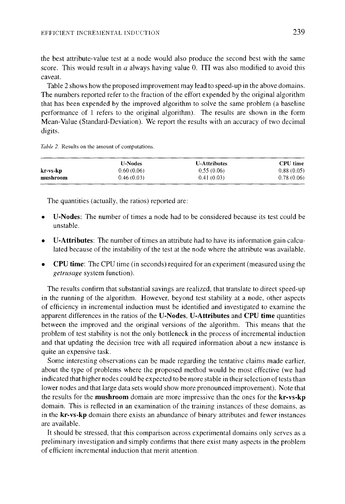the best attribute-value test at a node would also produce the second best with the same score. This would result in a always having value 0. ITI was also modified to avoid this caveat.

Table 2 shows how the proposed improvement may lead to speed-up in the above domains. The numbers reported refer to the fraction of the effort expended by the original algorithm that has been expended by the improved algorithm to solve the same problem (a baseline performance of 1 refers to the original algorithm). The results are shown in the form Mean-Value (Standard-Deviation). We report the results with an accuracy of two decimal digits.

*Table 2.* Results on the amount of computations.

|          | <b>U-Nodes</b> | <b>U-Attributes</b> | CPU time   |
|----------|----------------|---------------------|------------|
| kr-vs-kp | 0.60(0.06)     | 0.55(0.06)          | 0.88(0.05) |
| mushroom | 0.46(0.03)     | 0.41(0.03)          | 0.78(0.06) |

The quantities (actually, the ratios) reported are:

- U-Nodes: The number of times a node had to be considered because its test could be unstable.
- **U-Attributes:** The number of times an attribute had to have its information gain calculated because of the instability of the test at the node where the attribute was available.
- CPU **time:** The CPU time (in seconds) required for an experiment (measured using the *getrusage* system function).

The results confirm that substantial savings are realized, that translate to direct speed-up in the running of the algorithm. However, beyond test stability at a node, other aspects of efficiency in incremental induction must be identified and investigated to examine the apparent differences in the ratios of the **U-Nodes, U-Attributes** and CPU **time** quantities between the improved and the original versions of the algorithm. This means that the problem of test stability is not the only bottleneck in the process of incremental induction and that updating the decision tree with all required information about a new instance is quite an expensive task.

Some interesting observations can be made regarding the tentative claims made earlier, about the type of problems where the proposed method would be most effective (we had indicated that higher nodes could be expected to be more stable in their selection of tests than lower nodes and that large data sets would show more pronounced improvement). Note that the results for the **mushroom** domain are more impressive than the ones for the **kr-vs-kp** domain. This is reflected in an examination of the training instances of these domains, as in the kr-vs-kp domain there exists an abundance of binary attributes and fewer instances are available.

It should be stressed, that this comparison across experimental domains only serves as a preliminary investigation and simply confirms that there exist many aspects in the problem of efficient incremental induction that merit attention.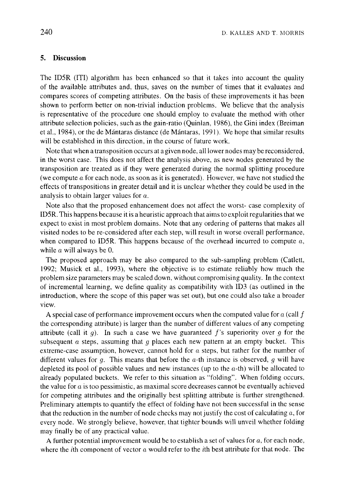### **5. Discussion**

The ID5R (ITI) algorithm has been enhanced so that it takes into account the quality of the available attributes and, thus, saves on the number of times that it evaluates and compares scores of competing attributes. On the basis of these improvements it has been shown to perform better on non-trivial induction problems. We believe that the analysis is representative of the procedure one should employ to evaluate the method with other attribute selection policies, such as the gain-ratio (Quinlan, 1986), the Gini index (Breiman et al., 1984), or the de Mántaras distance (de Mántaras, 1991). We hope that similar results will be established in this direction, in the course of future work.

Note that when a transposition occurs at a given node, all lower nodes may be reconsidered, in the worst case. This does not affect the analysis above, as new nodes generated by the transposition are treated as if they were generated during the normal splitting procedure (we compute a for each node, as soon as it is generated). However, we have not studied the effects of transpositions in greater detail and it is unclear whether they could be used in the analysis to obtain larger values for  $a$ .

Note also that the proposed enhancement does not affect the worst- case complexity of ID5R. This happens because it is a heuristic approach that aims to exploit regularities that we expect to exist in most problem domains. Note that any ordering of patterns that makes all visited nodes to be re-considered after each step, will result in worse overall performance, when compared to ID5R. This happens because of the overhead incurred to compute  $a$ , while a will always be 0.

The proposed approach may be also compared to the sub-sampling problem (Catlett, 1992; Musick et al., 1993), where the objective is to estimate reliably how much the problem size parameters may be scaled down, without compromising quality. In the context of incremental learning, we define quality as compatibility with ID3 (as outlined in the introduction, where the scope of this paper was set out), but one could also take a broader view.

A special case of performance improvement occurs when the computed value for  $a$  (call  $f$ the corresponding attribute) is larger than the number of different values of any competing attribute (call it  $g$ ). In such a case we have guaranteed  $f$ 's superiority over  $g$  for the subsequent  $\alpha$  steps, assuming that  $q$  places each new pattern at an empty bucket. This extreme-case assumption, however, cannot hold for a steps, but rather for the number of different values for g. This means that before the  $\alpha$ -th instance is observed, g will have depleted its pool of possible values and new instances (up to the a-th) will be allocated to already populated buckets. We refer to this situation as "folding". When folding occurs, the value for  $\alpha$  is too pessimistic, as maximal score decreases cannot be eventually achieved for competing attributes and the originally best splitting attribute is further strengthened. Preliminary attempts to quantify the effect of folding have not been successful in the sense that the reduction in the number of node checks may not justify the cost of calculating  $a$ , for every node. We strongly believe, however, that tighter bounds will unveil whether folding may finally be of any practical value.

A further potential improvement would be to establish a set of values for  $a$ , for each node, where the *i*th component of vector  $\alpha$  would refer to the *i*th best attribute for that node. The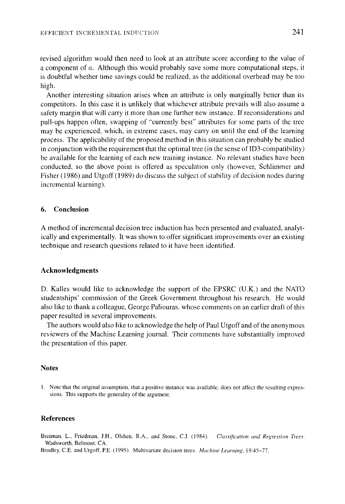revised algorithm would then need to look at an attribute score according to the value of a component of a. Although this would probably save some more computational steps, it is doubtful whether time savings could be realized, as the additional overhead may be too high.

Another interesting situation arises when an attribute is only marginally better than its competitors. In this case it is unlikely that whichever attribute prevails will also assume a safety margin that will carry it more than one further new instance. If reconsiderations and pull-ups happen often, swapping of "currently best" attributes for some parts of the tree may be experienced, which, in extreme cases, may carry on until the end of the learning process. The applicability of the proposed method in this situation can probably be studied in conjunction with the requirement that the optimal tree (in the sense of ID3-compatibility) be available for the learning of each new training instance. No relevant studies have been conducted, so the above point is offered as speculation only (however, Schlimmer and Fisher (1986) and Utgoff (1989) do discuss the subject of stability of decision nodes during incremental learning).

# **6. Conclusion**

A method of incremental decision tree induction has been presented and evaluated, analytically and experimentally. It was shown to offer significant improvements over an existing technique and research questions related to it have been identified.

#### **Acknowledgments**

D. Kalles would like to acknowledge the support of the EPSRC (U.K.) and the NATO studentships' commission of the Greek Government throughout his research. He would also like to thank a colleague, George Paliouras, whose comments on an earlier draft of this paper resulted in several improvements.

The authors would also like to acknowledge the help of Paul Utgoffand of the anonymous reviewers of the Machine Learning journal. Their comments have substantially improved the presentation of this paper.

## **Notes**

1. Note that the original assumption, that a positive instance was available, does not affect the resulting expressions. This supports the generality of the argument.

### **References**

Breiman, L., Friedman, J.H., Olshen, R.A., and Stone, C.J. (1984). *Classification and Regression Trees.* Wadsworth, Belmont, CA.

Brodley, C.E. and Utgoff, RE. (1995). Multivariate decision trees. *Machine Learning,* 19:45-77.